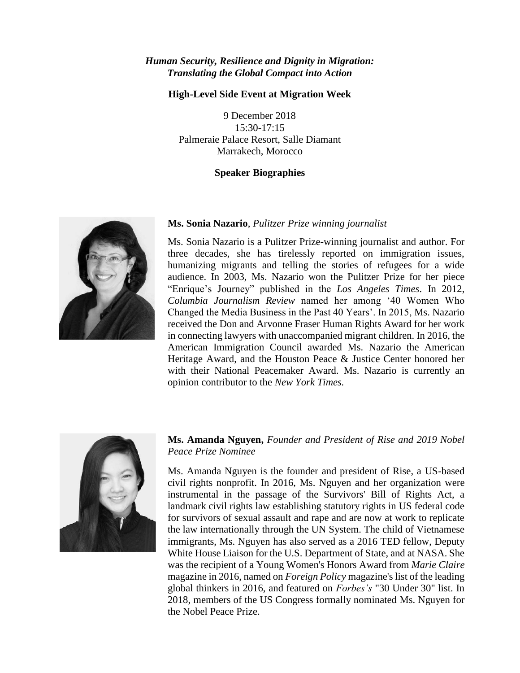#### *Human Security, Resilience and Dignity in Migration: Translating the Global Compact into Action*

#### **High-Level Side Event at Migration Week**

9 December 2018 15:30-17:15 Palmeraie Palace Resort, Salle Diamant Marrakech, Morocco

#### **Speaker Biographies**



#### **Ms. Sonia Nazario**, *Pulitzer Prize winning journalist*

Ms. Sonia Nazario is a Pulitzer Prize-winning journalist and author. For three decades, she has tirelessly reported on immigration issues, humanizing migrants and telling the stories of refugees for a wide audience. In 2003, Ms. Nazario won the Pulitzer Prize for her piece "Enrique's Journey" published in the *Los Angeles Times*. In 2012, *Columbia Journalism Review* named her among '40 Women Who Changed the Media Business in the Past 40 Years'. In 2015, Ms. Nazario received the Don and Arvonne Fraser Human Rights Award for her work in connecting lawyers with unaccompanied migrant children. In 2016, the American Immigration Council awarded Ms. Nazario the American Heritage Award, and the Houston Peace & Justice Center honored her with their National Peacemaker Award. Ms. Nazario is currently an opinion contributor to the *New York Times.* 



# **Ms. Amanda Nguyen,** *Founder and President of Rise and 2019 Nobel Peace Prize Nominee*

Ms. Amanda Nguyen is the founder and president of Rise, a US-based civil rights nonprofit. In 2016, Ms. Nguyen and her organization were instrumental in the passage of the Survivors' Bill of Rights Act, a landmark civil rights law establishing statutory rights in US federal code for survivors of sexual assault and rape and are now at work to replicate the law internationally through the UN System. The child of Vietnamese immigrants, Ms. Nguyen has also served as a 2016 TED fellow, Deputy White House Liaison for the U.S. Department of State, and at NASA. She was the recipient of a Young Women's Honors Award from *Marie Claire* magazine in 2016, named on *Foreign Policy* magazine's list of the leading global thinkers in 2016, and featured on *Forbes's* "30 Under 30" list. In 2018, members of the US Congress formally nominated Ms. Nguyen for the Nobel Peace Prize.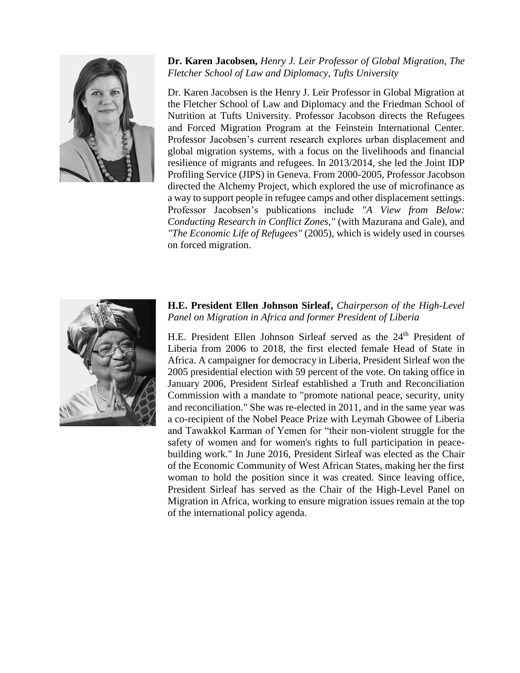

**Dr. Karen Jacobsen,** *Henry J. Leir Professor of Global Migration, The Fletcher School of Law and Diplomacy, Tufts University*

Dr. Karen Jacobsen is the Henry J. Leir Professor in Global Migration at the Fletcher School of Law and Diplomacy and the Friedman School of Nutrition at Tufts University. Professor Jacobson directs the Refugees and Forced Migration Program at the Feinstein International Center. Professor Jacobsen's current research explores urban displacement and global migration systems, with a focus on the livelihoods and financial resilience of migrants and refugees. In 2013/2014, she led the Joint IDP Profiling Service (JIPS) in Geneva. From 2000-2005, Professor Jacobson directed the Alchemy Project, which explored the use of microfinance as a way to support people in refugee camps and other displacement settings. Professor Jacobsen's publications include *"A View from Below: Conducting Research in Conflict Zones,"* (with Mazurana and Gale), and *"The Economic Life of Refugees"* (2005), which is widely used in courses on forced migration.



## **H.E. President Ellen Johnson Sirleaf,** *Chairperson of the High-Level Panel on Migration in Africa and former President of Liberia*

H.E. President Ellen Johnson Sirleaf served as the 24<sup>th</sup> President of Liberia from 2006 to 2018, the first elected female Head of State in Africa. A campaigner for democracy in Liberia, President Sirleaf won the 2005 presidential election with 59 percent of the vote. On taking office in January 2006, President Sirleaf established a Truth and Reconciliation Commission with a mandate to "promote national peace, security, unity and reconciliation." She was re-elected in 2011, and in the same year was a co-recipient of the Nobel Peace Prize with Leymah Gbowee of Liberia and Tawakkol Karman of Yemen for "their non-violent struggle for the safety of women and for women's rights to full participation in peacebuilding work." In June 2016, President Sirleaf was elected as the Chair of the Economic Community of West African States, making her the first woman to hold the position since it was created. Since leaving office, President Sirleaf has served as the Chair of the High-Level Panel on Migration in Africa, working to ensure migration issues remain at the top of the international policy agenda.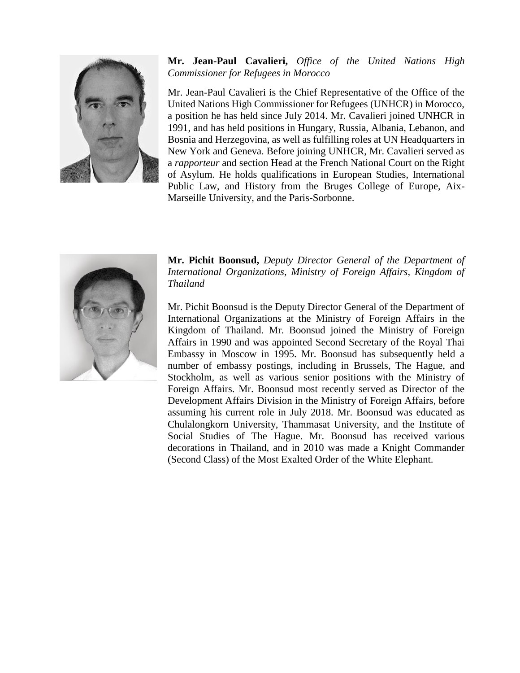

# **Mr. Jean-Paul Cavalieri,** *Office of the United Nations High Commissioner for Refugees in Morocco*

Mr. Jean-Paul Cavalieri is the Chief Representative of the Office of the United Nations High Commissioner for Refugees (UNHCR) in Morocco, a position he has held since July 2014. Mr. Cavalieri joined UNHCR in 1991, and has held positions in Hungary, Russia, Albania, Lebanon, and Bosnia and Herzegovina, as well as fulfilling roles at UN Headquarters in New York and Geneva. Before joining UNHCR, Mr. Cavalieri served as a *rapporteur* and section Head at the French National Court on the Right of Asylum. He holds qualifications in European Studies, International Public Law, and History from the Bruges College of Europe, Aix-Marseille University, and the Paris-Sorbonne.



**Mr. Pichit Boonsud,** *Deputy Director General of the Department of International Organizations, Ministry of Foreign Affairs, Kingdom of Thailand*

Mr. Pichit Boonsud is the Deputy Director General of the Department of International Organizations at the Ministry of Foreign Affairs in the Kingdom of Thailand. Mr. Boonsud joined the Ministry of Foreign Affairs in 1990 and was appointed Second Secretary of the Royal Thai Embassy in Moscow in 1995. Mr. Boonsud has subsequently held a number of embassy postings, including in Brussels, The Hague, and Stockholm, as well as various senior positions with the Ministry of Foreign Affairs. Mr. Boonsud most recently served as Director of the Development Affairs Division in the Ministry of Foreign Affairs, before assuming his current role in July 2018. Mr. Boonsud was educated as Chulalongkorn University, Thammasat University, and the Institute of Social Studies of The Hague. Mr. Boonsud has received various decorations in Thailand, and in 2010 was made a Knight Commander (Second Class) of the Most Exalted Order of the White Elephant.